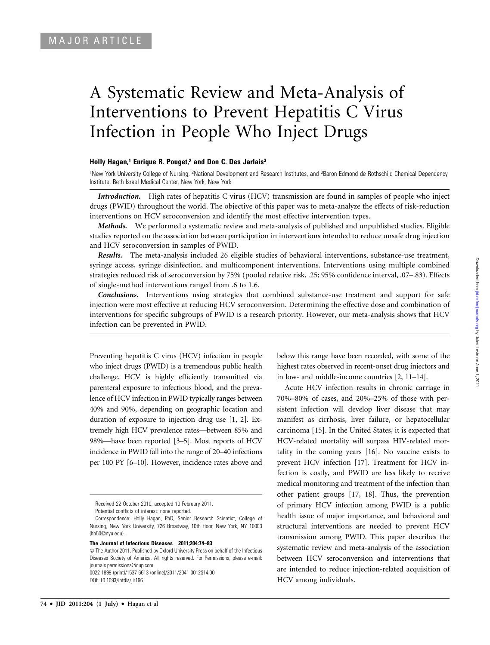# A Systematic Review and Meta-Analysis of Interventions to Prevent Hepatitis C Virus Infection in People Who Inject Drugs

#### Holly Hagan,<sup>1</sup> Enrique R. Pouget,<sup>2</sup> and Don C. Des Jarlais<sup>3</sup>

<sup>1</sup>New York University College of Nursing, <sup>2</sup>National Development and Research Institutes, and <sup>3</sup>Baron Edmond de Rothschild Chemical Dependency Institute, Beth Israel Medical Center, New York, New York

Introduction. High rates of hepatitis C virus (HCV) transmission are found in samples of people who inject drugs (PWID) throughout the world. The objective of this paper was to meta-analyze the effects of risk-reduction interventions on HCV seroconversion and identify the most effective intervention types.

Methods. We performed a systematic review and meta-analysis of published and unpublished studies. Eligible studies reported on the association between participation in interventions intended to reduce unsafe drug injection and HCV seroconversion in samples of PWID.

Results. The meta-analysis included 26 eligible studies of behavioral interventions, substance-use treatment, syringe access, syringe disinfection, and multicomponent interventions. Interventions using multiple combined strategies reduced risk of seroconversion by 75% (pooled relative risk, .25; 95% confidence interval, .07–.83). Effects of single-method interventions ranged from .6 to 1.6.

**Conclusions.** Interventions using strategies that combined substance-use treatment and support for safe injection were most effective at reducing HCV seroconversion. Determining the effective dose and combination of interventions for specific subgroups of PWID is a research priority. However, our meta-analysis shows that HCV infection can be prevented in PWID.

Preventing hepatitis C virus (HCV) infection in people who inject drugs (PWID) is a tremendous public health challenge. HCV is highly efficiently transmitted via parenteral exposure to infectious blood, and the prevalence of HCV infection in PWID typically ranges between 40% and 90%, depending on geographic location and duration of exposure to injection drug use [1, 2]. Extremely high HCV prevalence rates—between 85% and 98%—have been reported [3–5]. Most reports of HCV incidence in PWID fall into the range of 20–40 infections per 100 PY [6–10]. However, incidence rates above and

Potential conflicts of interest: none reported.

#### The Journal of Infectious Diseases 2011;204:74–83

0022-1899 (print)/1537-6613 (online)/2011/2041-0012\$14.00 DOI: 10.1093/infdis/jir196

below this range have been recorded, with some of the highest rates observed in recent-onset drug injectors and in low- and middle-income countries [2, 11–14].

Acute HCV infection results in chronic carriage in 70%–80% of cases, and 20%–25% of those with persistent infection will develop liver disease that may manifest as cirrhosis, liver failure, or hepatocellular carcinoma [15]. In the United States, it is expected that HCV-related mortality will surpass HIV-related mortality in the coming years [16]. No vaccine exists to prevent HCV infection [17]. Treatment for HCV infection is costly, and PWID are less likely to receive medical monitoring and treatment of the infection than other patient groups [17, 18]. Thus, the prevention of primary HCV infection among PWID is a public health issue of major importance, and behavioral and structural interventions are needed to prevent HCV transmission among PWID. This paper describes the systematic review and meta-analysis of the association between HCV seroconversion and interventions that are intended to reduce injection-related acquisition of HCV among individuals.

Received 22 October 2010; accepted 10 February 2011.

Correspondence: Holly Hagan, PhD, Senior Research Scientist, College of Nursing, New York University, 726 Broadway, 10th floor, New York, NY 10003 (hh50@nyu.edu).

The Author 2011. Published by Oxford University Press on behalf of the Infectious Diseases Society of America. All rights reserved. For Permissions, please e-mail: journals.permissions@oup.com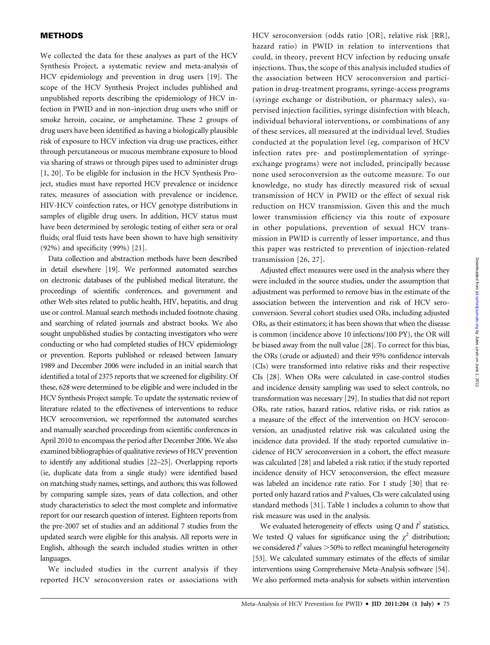We collected the data for these analyses as part of the HCV Synthesis Project, a systematic review and meta-analysis of HCV epidemiology and prevention in drug users [19]. The scope of the HCV Synthesis Project includes published and unpublished reports describing the epidemiology of HCV infection in PWID and in non–injection drug users who sniff or smoke heroin, cocaine, or amphetamine. These 2 groups of drug users have been identified as having a biologically plausible risk of exposure to HCV infection via drug-use practices, either through percutaneous or mucous membrane exposure to blood via sharing of straws or through pipes used to administer drugs [1, 20]. To be eligible for inclusion in the HCV Synthesis Project, studies must have reported HCV prevalence or incidence rates, measures of association with prevalence or incidence, HIV-HCV coinfection rates, or HCV genotype distributions in samples of eligible drug users. In addition, HCV status must have been determined by serologic testing of either sera or oral fluids; oral fluid tests have been shown to have high sensitivity (92%) and specificity (99%) [21].

Data collection and abstraction methods have been described in detail elsewhere [19]. We performed automated searches on electronic databases of the published medical literature, the proceedings of scientific conferences, and government and other Web sites related to public health, HIV, hepatitis, and drug use or control. Manual search methods included footnote chasing and searching of related journals and abstract books. We also sought unpublished studies by contacting investigators who were conducting or who had completed studies of HCV epidemiology or prevention. Reports published or released between January 1989 and December 2006 were included in an initial search that identified a total of 2375 reports that we screened for eligibility. Of these, 628 were determined to be eligible and were included in the HCV Synthesis Project sample. To update the systematic review of literature related to the effectiveness of interventions to reduce HCV seroconversion, we reperformed the automated searches and manually searched proceedings from scientific conferences in April 2010 to encompass the period after December 2006. We also examined bibliographies of qualitative reviews of HCV prevention to identify any additional studies [22–25]. Overlapping reports (ie, duplicate data from a single study) were identified based on matching study names, settings, and authors; this was followed by comparing sample sizes, years of data collection, and other study characteristics to select the most complete and informative report for our research question of interest. Eighteen reports from the pre-2007 set of studies and an additional 7 studies from the updated search were eligible for this analysis. All reports were in English, although the search included studies written in other languages.

We included studies in the current analysis if they reported HCV seroconversion rates or associations with

HCV seroconversion (odds ratio [OR], relative risk [RR], hazard ratio) in PWID in relation to interventions that could, in theory, prevent HCV infection by reducing unsafe injections. Thus, the scope of this analysis included studies of the association between HCV seroconversion and participation in drug-treatment programs, syringe-access programs (syringe exchange or distribution, or pharmacy sales), supervised injection facilities, syringe disinfection with bleach, individual behavioral interventions, or combinations of any of these services, all measured at the individual level. Studies conducted at the population level (eg, comparison of HCV infection rates pre- and postimplementation of syringeexchange programs) were not included, principally because none used seroconversion as the outcome measure. To our knowledge, no study has directly measured risk of sexual transmission of HCV in PWID or the effect of sexual risk reduction on HCV transmission. Given this and the much lower transmission efficiency via this route of exposure in other populations, prevention of sexual HCV transmission in PWID is currently of lesser importance, and thus this paper was restricted to prevention of injection-related transmission [26, 27].

Adjusted effect measures were used in the analysis where they were included in the source studies, under the assumption that adjustment was performed to remove bias in the estimate of the association between the intervention and risk of HCV seroconversion. Several cohort studies used ORs, including adjusted ORs, as their estimators; it has been shown that when the disease is common (incidence above 10 infections/100 PY), the OR will be biased away from the null value [28]. To correct for this bias, the ORs (crude or adjusted) and their 95% confidence intervals (CIs) were transformed into relative risks and their respective CIs [28]. When ORs were calculated in case-control studies and incidence density sampling was used to select controls, no transformation was necessary [29]. In studies that did not report ORs, rate ratios, hazard ratios, relative risks, or risk ratios as a measure of the effect of the intervention on HCV seroconversion, an unadjusted relative risk was calculated using the incidence data provided. If the study reported cumulative incidence of HCV seroconversion in a cohort, the effect measure was calculated [28] and labeled a risk ratio; if the study reported incidence density of HCV seroconversion, the effect measure was labeled an incidence rate ratio. For 1 study [30] that reported only hazard ratios and P values, CIs were calculated using standard methods [31]. Table 1 includes a column to show that risk measure was used in the analysis.

We evaluated heterogeneity of effects using Q and  $I^2$  statistics. We tested Q values for significance using the  $\chi^2$  distribution; we considered  $I^2$  values  $>$  50% to reflect meaningful heterogeneity [53]. We calculated summary estimates of the effects of similar interventions using Comprehensive Meta-Analysis software [54]. We also performed meta-analysis for subsets within intervention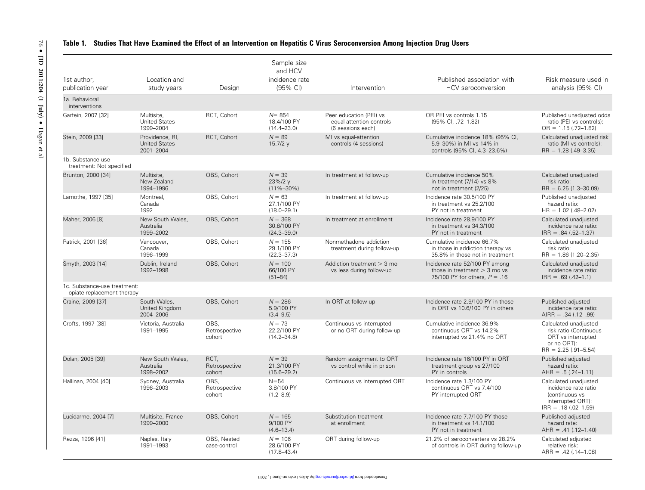# Table 1. Studies That Have Examined the Effect of an Intervention on Hepatitis C Virus Seroconversion Among Injection Drug Users

|                                                            |                                                      |                                 | Sample size<br>and HCV                      |                                                                          |                                                                                                     |                                                                                                                  |
|------------------------------------------------------------|------------------------------------------------------|---------------------------------|---------------------------------------------|--------------------------------------------------------------------------|-----------------------------------------------------------------------------------------------------|------------------------------------------------------------------------------------------------------------------|
| 1st author,<br>publication year                            | Location and<br>study years                          | Design                          | incidence rate<br>(95% C)                   | Intervention                                                             | Published association with<br>HCV seroconversion                                                    | Risk measure used in<br>analysis (95% CI)                                                                        |
| 1a. Behavioral<br>interventions                            |                                                      |                                 |                                             |                                                                          |                                                                                                     |                                                                                                                  |
| Garfein, 2007 [32]                                         | Multisite,<br><b>United States</b><br>1999-2004      | RCT, Cohort                     | $N = 854$<br>18.4/100 PY<br>$(14.4 - 23.0)$ | Peer education (PEI) vs<br>equal-attention controls<br>(6 sessions each) | OR PEI vs controls 1.15<br>(95% Cl, .72-1.82)                                                       | Published unadjusted odds<br>ratio (PEI vs controls):<br>$OR = 1.15(.72 - 1.82)$                                 |
| Stein, 2009 [33]                                           | Providence, RI.<br><b>United States</b><br>2001-2004 | RCT, Cohort                     | $N = 89$<br>$15.7/2$ y                      | MI vs equal-attention<br>controls (4 sessions)                           | Cumulative incidence 18% (95% Cl.<br>5.9-30%) in MI vs 14% in<br>controls (95% Cl, 4.3-23.6%)       | Calculated unadjusted risk<br>ratio (MI vs controls):<br>$RR = 1.28(.49 - 3.35)$                                 |
| 1b. Substance-use<br>treatment: Not specified              |                                                      |                                 |                                             |                                                                          |                                                                                                     |                                                                                                                  |
| Brunton, 2000 [34]                                         | Multisite,<br>New Zealand<br>1994-1996               | OBS, Cohort                     | $N = 39$<br>23%/2 v<br>$(11\% - 30\%)$      | In treatment at follow-up                                                | Cumulative incidence 50%<br>in treatment (7/14) vs 8%<br>not in treatment (2/25)                    | Calculated unadjusted<br>risk ratio:<br>$RR = 6.25(1.3 - 30.09)$                                                 |
| Lamothe, 1997 [35]                                         | Montreal.<br>Canada<br>1992                          | OBS, Cohort                     | $N = 63$<br>27.1/100 PY<br>$(18.0 - 29.1)$  | In treatment at follow-up                                                | Incidence rate 30.5/100 PY<br>in treatment vs 25.2/100<br>PY not in treatment                       | Published unadjusted<br>hazard ratio:<br>$HR = 1.02$ (.48-2.02)                                                  |
| Maher, 2006 [8]                                            | New South Wales.<br>Australia<br>1999-2002           | OBS, Cohort                     | $N = 368$<br>30.8/100 PY<br>$(24.3 - 39.0)$ | In treatment at enrollment                                               | Incidence rate 28.9/100 PY<br>in treatment vs 34.3/100<br>PY not in treatment                       | Calculated unadiusted<br>incidence rate ratio:<br>$IRR = .84 (.52 - 1.37)$                                       |
| Patrick, 2001 [36]                                         | Vancouver,<br>Canada<br>1996-1999                    | OBS, Cohort                     | $N = 155$<br>29.1/100 PY<br>$(22.3 - 37.3)$ | Nonmethadone addiction<br>treatment during follow-up                     | Cumulative incidence 66.7%<br>in those in addiction therapy vs<br>35.8% in those not in treatment   | Calculated unadjusted<br>risk ratio:<br>$RR = 1.86(1.20 - 2.35)$                                                 |
| Smyth, 2003 [14]                                           | Dublin, Ireland<br>1992-1998                         | OBS, Cohort                     | $N = 100$<br>66/100 PY<br>$(51 - 84)$       | Addiction treatment $>$ 3 mo<br>vs less during follow-up                 | Incidence rate 52/100 PY among<br>those in treatment $>$ 3 mo vs<br>75/100 PY for others, $P = .16$ | Calculated unadjusted<br>incidence rate ratio:<br>$IRR = .69 (.42 - 1.1)$                                        |
| 1c. Substance-use treatment:<br>opiate-replacement therapy |                                                      |                                 |                                             |                                                                          |                                                                                                     |                                                                                                                  |
| Craine, 2009 [37]                                          | South Wales.<br>United Kingdom<br>2004-2006          | OBS, Cohort                     | $N = 286$<br>5.9/100 PY<br>$(3.4 - 9.5)$    | In ORT at follow-up                                                      | Incidence rate 2.9/100 PY in those<br>in ORT vs 10.6/100 PY in others                               | Published adjusted<br>incidence rate ratio:<br>$AIRR = .34 (.12 - .99)$                                          |
| Crofts, 1997 [38]                                          | Victoria, Australia<br>1991-1995                     | OBS,<br>Retrospective<br>cohort | $N = 73$<br>22.2/100 PY<br>$(14.2 - 34.8)$  | Continuous vs interrupted<br>or no ORT during follow-up                  | Cumulative incidence 36.9%<br>continuous ORT vs 14.2%<br>interrupted vs 21.4% no ORT                | Calculated unadjusted<br>risk ratio (Continuous<br>ORT vs interrupted<br>or no ORT):<br>$RR = 2.25(.91 - 5.54)$  |
| Dolan, 2005 [39]                                           | New South Wales,<br>Australia<br>1998-2002           | RCT,<br>Retrospective<br>cohort | $N = 39$<br>21.3/100 PY<br>$(15.6 - 29.2)$  | Random assignment to ORT<br>vs control while in prison                   | Incidence rate 16/100 PY in ORT<br>treatment group vs 27/100<br>PY in controls                      | Published adjusted<br>hazard ratio:<br>$AHR = .5 (.24 - 1.11)$                                                   |
| Hallinan, 2004 [40]                                        | Sydney, Australia<br>1996-2003                       | OBS.<br>Retrospective<br>cohort | $N = 54$<br>3.8/100 PY<br>$(1.2 - 8.9)$     | Continuous vs interrupted ORT                                            | Incidence rate 1.3/100 PY<br>continuous ORT vs 7.4/100<br>PY interrupted ORT                        | Calculated unadjusted<br>incidence rate ratio<br>(continuous vs<br>interrupted ORT):<br>$IRR = .18 (.02 - 1.59)$ |
| Lucidarme, 2004 [7]                                        | Multisite, France<br>1999-2000                       | OBS, Cohort                     | $N = 165$<br>9/100 PY<br>$(4.6 - 13.4)$     | Substitution treatment<br>at enrollment                                  | Incidence rate 7.7/100 PY those<br>in treatment vs 14.1/100<br>PY not in treatment                  | Published adjusted<br>hazard rate:<br>$AHR = .41 (.12 - 1.40)$                                                   |
| Rezza, 1996 [41]                                           | Naples, Italy<br>1991-1993                           | OBS, Nested<br>case-control     | $N = 106$<br>28.6/100 PY<br>$(17.8 - 43.4)$ | ORT during follow-up                                                     | 21.2% of seroconverters vs 28.2%<br>of controls in ORT during follow-up                             | Calculated adjusted<br>relative risk:<br>$ARR = .42 (.14 - 1.08)$                                                |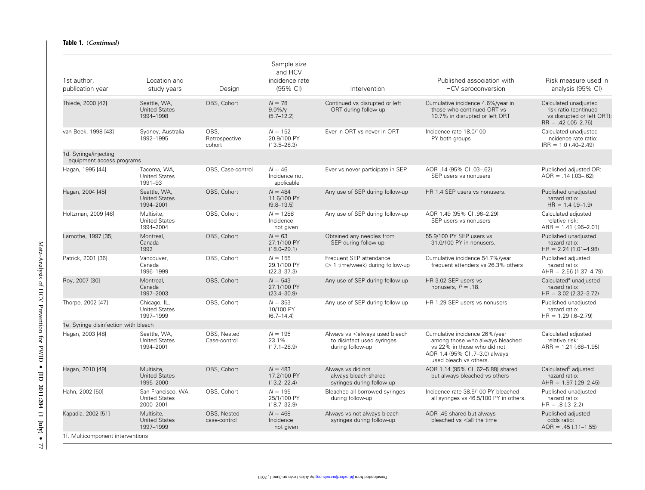#### Table 1. (Continued)

| 1st author,<br>publication year                    | Location and<br>study years                             | Design                          | Sample size<br>and HCV<br>incidence rate<br>(95% CI) | Intervention                                                                                    | Published association with<br>HCV seroconversion                                                                                                            | Risk measure used in<br>analysis (95% CI)                                                               |
|----------------------------------------------------|---------------------------------------------------------|---------------------------------|------------------------------------------------------|-------------------------------------------------------------------------------------------------|-------------------------------------------------------------------------------------------------------------------------------------------------------------|---------------------------------------------------------------------------------------------------------|
| Thiede, 2000 [42]                                  | Seattle, WA,<br><b>United States</b><br>1994-1998       | OBS, Cohort                     | $N = 78$<br>$9.0\% / y$<br>$(5.7 - 12.2)$            | Continued vs disrupted or left<br>ORT during follow-up                                          | Cumulative incidence 4.6%/year in<br>those who continued ORT vs<br>10.7% in disrupted or left ORT                                                           | Calculated unadjusted<br>risk ratio (continued<br>vs disrupted or left ORT):<br>$RR = .42 (.05 - 2.76)$ |
| van Beek, 1998 [43]                                | Sydney, Australia<br>1992-1995                          | OBS.<br>Retrospective<br>cohort | $N = 152$<br>20.9/100 PY<br>$(13.5 - 28.3)$          | Ever in ORT vs never in ORT                                                                     | Incidence rate 18.0/100<br>PY both groups                                                                                                                   | Calculated unadjusted<br>incidence rate ratio:<br>$IRR = 1.0(.40 - 2.49)$                               |
| 1d. Syringe/injecting<br>equipment access programs |                                                         |                                 |                                                      |                                                                                                 |                                                                                                                                                             |                                                                                                         |
| Hagan, 1995 [44]                                   | Tacoma, WA,<br><b>United States</b><br>1991-93          | OBS, Case-control               | $N = 46$<br>Incidence not<br>applicable              | Ever vs never participate in SEP                                                                | AOR .14 (95% CI .03-.62)<br>SEP users vs nonusers                                                                                                           | Published adjusted OR:<br>$AOR = .14(.03-.62)$                                                          |
| Hagan, 2004 [45]                                   | Seattle, WA,<br><b>United States</b><br>1994-2001       | OBS, Cohort                     | $N = 484$<br>11.6/100 PY<br>$(9.8 - 13.5)$           | Any use of SEP during follow-up                                                                 | HR 1.4 SEP users vs nonusers.                                                                                                                               | Published unadjusted<br>hazard ratio:<br>$HR = 1.4(.9-1.9)$                                             |
| Holtzman, 2009 [46]                                | Multisite,<br><b>United States</b><br>1994-2004         | OBS, Cohort                     | $N = 1288$<br>Incidence<br>not given                 | Any use of SEP during follow-up                                                                 | AOR 1.49 (95% CI .96-2.29)<br>SEP users vs nonusers                                                                                                         | Calculated adjusted<br>relative risk:<br>$ARR = 1.41(.96 - 2.01)$                                       |
| Lamothe, 1997 [35]                                 | Montreal.<br>Canada<br>1992                             | OBS, Cohort                     | $N = 63$<br>27.1/100 PY<br>$(18.0 - 29.1)$           | Obtained any needles from<br>SEP during follow-up                                               | 55.9/100 PY SEP users vs<br>31.0/100 PY in nonusers.                                                                                                        | Published unadjusted<br>hazard ratio:<br>$HR = 2.24(1.01 - 4.98)$                                       |
| Patrick, 2001 [36]                                 | Vancouver,<br>Canada<br>1996-1999                       | OBS, Cohort                     | $N = 155$<br>29.1/100 PY<br>$(22.3 - 37.3)$          | Frequent SEP attendance<br>$($ 1 time/week) during follow-up                                    | Cumulative incidence 54.7%/year<br>frequent attenders vs 26.3% others                                                                                       | Published adjusted<br>hazard ratio:<br>$AHR = 2.56(1.37 - 4.79)$                                        |
| Roy, 2007 [30]                                     | Montreal.<br>Canada<br>1997-2003                        | OBS, Cohort                     | $N = 543$<br>27.1/100 PY<br>$(23.4 - 30.9)$          | Any use of SEP during follow-up                                                                 | HR 3.02 SEP users vs<br>nonusers, $P = .18$ .                                                                                                               | Calculated <sup>a</sup> unadjusted<br>hazard ratio:<br>$HR = 3.02(2.32 - 3.72)$                         |
| Thorpe, 2002 [47]                                  | Chicago, IL,<br><b>United States</b><br>1997-1999       | OBS, Cohort                     | $N = 353$<br>10/100 PY<br>$(6.7 - 14.4)$             | Any use of SEP during follow-up                                                                 | HR 1.29 SEP users vs nonusers.                                                                                                                              | Published unadjusted<br>hazard ratio:<br>$HR = 1.29(.6 - 2.79)$                                         |
| 1e. Syringe disinfection with bleach               |                                                         |                                 |                                                      |                                                                                                 |                                                                                                                                                             |                                                                                                         |
| Hagan, 2003 [48]                                   | Seattle, WA.<br><b>United States</b><br>1994-2001       | OBS, Nested<br>Case-control     | $N = 195$<br>23.1%<br>$(17.1 - 28.9)$                | Always vs <always bleach<br="" used="">to disinfect used syringes<br/>during follow-up</always> | Cumulative incidence 26%/year<br>among those who always bleached<br>vs 22% in those who did not<br>AOR 1.4 (95% Cl .7-3.0) always<br>used bleach vs others. | Calculated adjusted<br>relative risk:<br>$ARR = 1.21 (.68 - 1.95)$                                      |
| Hagan, 2010 [49]                                   | Multisite,<br><b>United States</b><br>1995-2000         | OBS, Cohort                     | $N = 483$<br>17.2/100 PY<br>$(13.2 - 22.4)$          | Always vs did not<br>always bleach shared<br>syringes during follow-up                          | AOR 1.14 (95% Cl .62-5.88) shared<br>but always bleached vs others                                                                                          | Calculated <sup>b</sup> adjusted<br>hazard ratio:<br>$AHR = 1.97(.29 - 2.45)$                           |
| Hahn, 2002 [50]                                    | San Francisco, WA,<br><b>United States</b><br>2000-2001 | OBS, Cohort                     | $N = 195$<br>25/1/100 PY<br>$(18.7 - 32.9)$          | Bleached all borrowed syringes<br>during follow-up                                              | Incidence rate 38.5/100 PY bleached<br>all syringes vs 46.5/100 PY in others.                                                                               | Published unadjusted<br>hazard ratio:<br>$HR = .8 (.3 - 2.2)$                                           |
| Kapadia, 2002 [51]                                 | Multisite,<br><b>United States</b><br>1997-1999         | OBS, Nested<br>case-control     | $N = 468$<br>Incidence<br>not given                  | Always vs not always bleach<br>syringes during follow-up                                        | AOR .45 shared but always<br>bleached vs $\leq$ all the time                                                                                                | Published adjusted<br>odds ratio:<br>$AOR = .45(.11 - 1.55)$                                            |
| 1f. Multicomponent interventions                   |                                                         |                                 |                                                      |                                                                                                 |                                                                                                                                                             |                                                                                                         |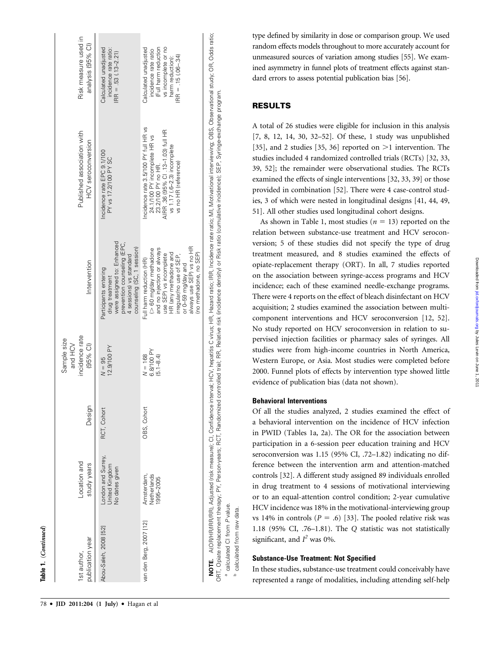| publication year<br>Ist author, | Location and<br>study years                                  | Design      | incidence rate<br>Sample size<br>and HCV<br>$(95%$ CI) | Intervention                                                                                                                                                                                                                                | Published association with<br>HCV seroconversion                                                                                                                                                                                                                                                                                                                                                                    | Risk measure used in<br>analysis (95% Cl)                                                                                               |
|---------------------------------|--------------------------------------------------------------|-------------|--------------------------------------------------------|---------------------------------------------------------------------------------------------------------------------------------------------------------------------------------------------------------------------------------------------|---------------------------------------------------------------------------------------------------------------------------------------------------------------------------------------------------------------------------------------------------------------------------------------------------------------------------------------------------------------------------------------------------------------------|-----------------------------------------------------------------------------------------------------------------------------------------|
| Abou-Saleh, 2008 [52]           | ondon and Surrey,<br><b>Jnited Kingdom</b><br>Vo dates given | RCT, Cohort | 12.9/100 PY<br>$N = 95$                                | were assigned to: Enhanced<br>prevention counseling (EPC,<br>counseling (SC, 1 session)<br>4 sessions) vs standard<br>Participants entering<br>drug treatment                                                                               | Incidence rate EPC 9.1/100<br>PY vs 17.2/100 PY SC                                                                                                                                                                                                                                                                                                                                                                  | Calculated unadjusted<br>incidence rate ratio:<br>$IRR = .53(.13 - 2.21)$                                                               |
| van den Berg, 2007 [12]         | Netherlands<br>Amsterdam,<br>995-2005                        | OBS, Cohort | 6.8/100 PY<br>$N = 168$<br>$(5.1 - 8.4)$               | always use SEP) vs no HR<br>and no injection or always<br>(> 60 mg/day methadone<br>ino methadone, no SEP)<br>HR (any methadone and<br>use SEP) vs incomplete<br>irregular/no use of SEP,<br>Full harm reduction (HR)<br>or 0-59 mg/day and | Incidence rate 3.5/100 PY full HR vs<br>AIRR .36 (95% CI .13-1.03) full HR<br>24.1/100 PY incomplete HR vs<br>vs 1.17 (.6-2.3) incomplete<br>vs no HR (reference)<br>23.2/100 PY no HR.                                                                                                                                                                                                                             | (Full harm reduction<br>vs incomplete or no<br>Calculated unadjusted<br>incidence rate ratio<br>$IRR = 0.06 - 0.34$<br>harm reduction): |
|                                 |                                                              |             |                                                        |                                                                                                                                                                                                                                             | NOTE. A(OR/HR/IRR/RR), Adjusted (risk measure); C), Confidence interval; HCV, hepatitis C virus; HR, Hazard ratio; IRR, Incidence rate ratio; MI, Motivational interviewing; OBS, Observational study; OR, Odds ratio;<br>ORT, Opiate replacement therapy; PY, Person-years; RCT, Randomized controlled trial; RR, Relative (incidence density) or Risk ratio (cumulative incidence); SEP, Syringe-exchange program |                                                                                                                                         |

type defined by similarity in dose or comparison group. We used random effects models throughout to more accurately account for unmeasured sources of variation among studies [55]. We examined asymmetry in funnel plots of treatment effects against standard errors to assess potential publication bias [56].

# RESULTS

A total of 26 studies were eligible for inclusion in this analysis [7, 8, 12, 14, 30, 32–52]. Of these, 1 study was unpublished [35], and 2 studies [35, 36] reported on  $>1$  intervention. The studies included 4 randomized controlled trials (RCTs) [32, 33, 39, 52]; the remainder were observational studies. The RCTs examined the effects of single interventions [32, 33, 39] or those provided in combination [52]. There were 4 case-control studies, 3 of which were nested in longitudinal designs [41, 44, 49, 51]. All other studies used longitudinal cohort designs.

As shown in Table 1, most studies ( $n = 13$ ) reported on the relation between substance-use treatment and HCV seroconversion; 5 of these studies did not specify the type of drug treatment measured, and 8 studies examined the effects of opiate-replacement therapy (ORT). In all, 7 studies reported on the association between syringe-access programs and HCV incidence; each of these examined needle-exchange programs. There were 4 reports on the effect of bleach disinfectant on HCV acquisition; 2 studies examined the association between multicomponent interventions and HCV seroconversion [12, 52]. No study reported on HCV seroconversion in relation to supervised injection facilities or pharmacy sales of syringes. All studies were from high-income countries in North America, Western Europe, or Asia. Most studies were completed before 2000. Funnel plots of effects by intervention type showed little evidence of publication bias (data not shown).

# Behavioral Interventions

Of all the studies analyzed, 2 studies examined the effect of a behavioral intervention on the incidence of HCV infection in PWID (Tables 1a, 2a). The OR for the association between participation in a 6-session peer education training and HCV seroconversion was 1.15 (95% CI, .72–1.82) indicating no difference between the intervention arm and attention-matched controls [32]. A different study assigned 89 individuals enrolled in drug treatment to 4 sessions of motivational interviewing or to an equal-attention control condition; 2-year cumulative HCV incidence was 18% in the motivational-interviewing group vs 14% in controls ( $P = .6$ ) [33]. The pooled relative risk was 1.18 (95% CI, .76–1.81). The Q statistic was not statistically significant, and  $I^2$  was 0%.

# Substance-Use Treatment: Not Specified

a

b

calculated CI from P value.

calculated CI from P value. calculated from raw data

calculated from raw data.

In these studies, substance-use treatment could conceivably have represented a range of modalities, including attending self-help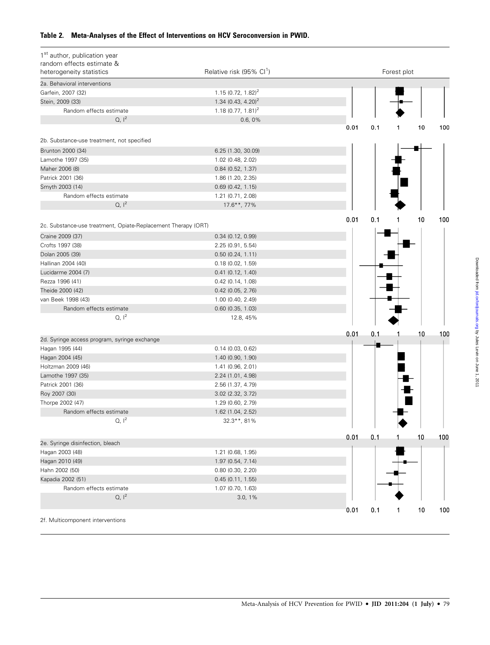# Table 2. Meta-Analyses of the Effect of Interventions on HCV Seroconversion in PWID.

| 1 <sup>st</sup> author, publication year<br>random effects estimate & |                                      |      |     |             |     |
|-----------------------------------------------------------------------|--------------------------------------|------|-----|-------------|-----|
| heterogeneity statistics                                              | Relative risk (95% CI <sup>1</sup> ) |      |     | Forest plot |     |
| 2a. Behavioral interventions                                          |                                      |      |     |             |     |
| Garfein, 2007 (32)                                                    | 1.15 (0.72, 1.82) <sup>2</sup>       |      |     |             |     |
| Stein, 2009 (33)                                                      | 1.34 (0.43, 4.20) <sup>2</sup>       |      |     |             |     |
| Random effects estimate                                               | 1.18 (0.77, 1.81) <sup>2</sup>       |      |     |             |     |
| $Q, I^2$                                                              | 0.6,0%                               | 0.01 | 0.1 | 10          | 100 |
| 2b. Substance-use treatment, not specified                            |                                      |      |     |             |     |
| Brunton 2000 (34)                                                     | 6.25 (1.30, 30.09)                   |      |     |             |     |
| Lamothe 1997 (35)                                                     | 1.02 (0.48, 2.02)                    |      |     |             |     |
| Maher 2006 (8)                                                        | $0.84$ (0.52, 1.37)                  |      |     |             |     |
| Patrick 2001 (36)                                                     | 1.86 (1.20, 2.35)                    |      |     |             |     |
| Smyth 2003 (14)                                                       | $0.69$ $(0.42, 1.15)$                |      |     |             |     |
| Random effects estimate                                               | 1.21 (0.71, 2.08)                    |      |     |             |     |
| $Q, I^2$                                                              | 17.6**, 77%                          |      |     |             |     |
| 2c. Substance-use treatment, Opiate-Replacement Therapy (ORT)         |                                      | 0.01 | 0.1 | 10          | 100 |
|                                                                       |                                      |      |     |             |     |
| Craine 2009 (37)                                                      | $0.34$ (0.12, 0.99)                  |      |     |             |     |
| Crofts 1997 (38)                                                      | 2.25 (0.91, 5.54)                    |      |     |             |     |
| Dolan 2005 (39)                                                       | 0.50(0.24, 1.11)                     |      |     |             |     |
| Hallinan 2004 (40)                                                    | 0.18 (0.02, 1.59)                    |      |     |             |     |
| Lucidarme 2004 (7)                                                    | $0.41$ (0.12, 1.40)                  |      |     |             |     |
| Rezza 1996 (41)                                                       | $0.42$ (0.14, 1.08)                  |      |     |             |     |
| Theide 2000 (42)                                                      | $0.42$ (0.05, 2.76)                  |      |     |             |     |
| van Beek 1998 (43)                                                    | 1.00 (0.40, 2.49)                    |      |     |             |     |
| Random effects estimate<br>$Q, I^2$                                   | $0.60$ (0.35, 1.03)                  |      |     |             |     |
|                                                                       | 12.8, 45%                            |      |     |             |     |
| 2d. Syringe access program, syringe exchange                          |                                      | 0.01 | 0.1 | 10          | 100 |
| Hagan 1995 (44)                                                       | $0.14$ (0.03, 0.62)                  |      |     |             |     |
| Hagan 2004 (45)                                                       | 1.40 (0.90, 1.90)                    |      |     |             |     |
| Holtzman 2009 (46)                                                    | 1.41 (0.96, 2.01)                    |      |     |             |     |
| Lamothe 1997 (35)                                                     | 2.24 (1.01, 4.98)                    |      |     |             |     |
| Patrick 2001 (36)                                                     | 2.56 (1.37, 4.79)                    |      |     |             |     |
| Roy 2007 (30)                                                         | 3.02 (2.32, 3.72)                    |      |     |             |     |
| Thorpe 2002 (47)                                                      | 1.29 (0.60, 2.79)                    |      |     |             |     |
| Random effects estimate                                               | 1.62 (1.04, 2.52)                    |      |     |             |     |
| $Q, I^2$                                                              | 32.3**, 81%                          |      |     |             |     |
| 2e. Syringe disinfection, bleach                                      |                                      | 0.01 | 0.1 | 10          | 100 |
| Hagan 2003 (48)                                                       | 1.21 (0.68, 1.95)                    |      |     |             |     |
| Hagan 2010 (49)                                                       | 1.97 (0.54, 7.14)                    |      |     |             |     |
| Hahn 2002 (50)                                                        | $0.80$ (0.30, 2.20)                  |      |     |             |     |
| Kapadia 2002 (51)                                                     | 0.45(0.11, 1.55)                     |      |     |             |     |
| Random effects estimate                                               | 1.07 (0.70, 1.63)                    |      |     |             |     |
| $Q, I^2$                                                              | $3.0, 1\%$                           |      |     |             |     |
| 2f. Multicomponent interventions                                      |                                      | 0.01 | 0.1 | 10<br>1     | 100 |
|                                                                       |                                      |      |     |             |     |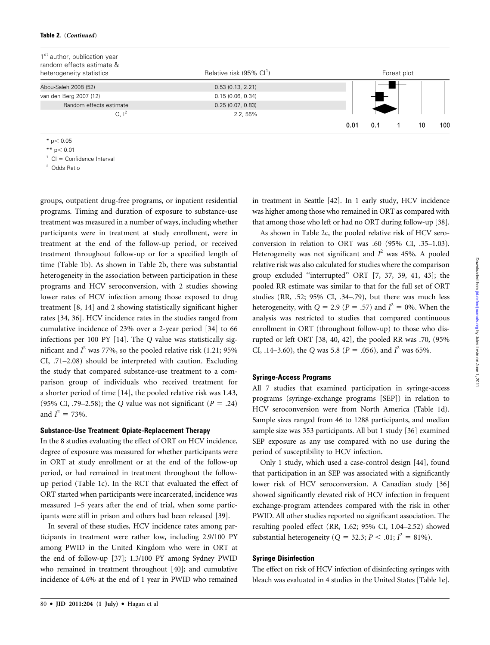| 1 <sup>st</sup> author, publication year<br>random effects estimate &<br>heterogeneity statistics | Relative risk (95% Cl <sup>1</sup> ) |      |     | Forest plot |    |     |
|---------------------------------------------------------------------------------------------------|--------------------------------------|------|-----|-------------|----|-----|
| Abou-Saleh 2008 (52)                                                                              | 0.53(0.13, 2.21)                     |      |     |             |    |     |
| van den Berg 2007 (12)                                                                            | 0.15(0.06, 0.34)                     |      |     |             |    |     |
| Random effects estimate                                                                           | 0.25(0.07, 0.83)                     |      |     |             |    |     |
| $Q, I^2$                                                                                          | $2.2, 55\%$                          |      |     |             |    |     |
|                                                                                                   |                                      | 0.01 | 0.1 |             | 10 | 100 |

 $*$  p $<$  0.05

\*\*  $p < 0.01$ 

 $1$  CI = Confidence Interval

<sup>2</sup> Odds Ratio

groups, outpatient drug-free programs, or inpatient residential programs. Timing and duration of exposure to substance-use treatment was measured in a number of ways, including whether participants were in treatment at study enrollment, were in treatment at the end of the follow-up period, or received treatment throughout follow-up or for a specified length of time (Table 1b). As shown in Table 2b, there was substantial heterogeneity in the association between participation in these programs and HCV seroconversion, with 2 studies showing lower rates of HCV infection among those exposed to drug treatment [8, 14] and 2 showing statistically significant higher rates [34, 36]. HCV incidence rates in the studies ranged from cumulative incidence of 23% over a 2-year period [34] to 66 infections per 100 PY [14]. The Q value was statistically significant and  $I^2$  was 77%, so the pooled relative risk (1.21; 95% CI, .71–2.08) should be interpreted with caution. Excluding the study that compared substance-use treatment to a comparison group of individuals who received treatment for a shorter period of time [14], the pooled relative risk was 1.43, (95% CI, .79–2.58); the Q value was not significant ( $P = .24$ ) and  $I^2 = 73\%$ .

## Substance-Use Treatment: Opiate-Replacement Therapy

In the 8 studies evaluating the effect of ORT on HCV incidence, degree of exposure was measured for whether participants were in ORT at study enrollment or at the end of the follow-up period, or had remained in treatment throughout the followup period (Table 1c). In the RCT that evaluated the effect of ORT started when participants were incarcerated, incidence was measured 1–5 years after the end of trial, when some participants were still in prison and others had been released [39].

In several of these studies, HCV incidence rates among participants in treatment were rather low, including 2.9/100 PY among PWID in the United Kingdom who were in ORT at the end of follow-up [37]; 1.3/100 PY among Sydney PWID who remained in treatment throughout [40]; and cumulative incidence of 4.6% at the end of 1 year in PWID who remained

in treatment in Seattle [42]. In 1 early study, HCV incidence was higher among those who remained in ORT as compared with that among those who left or had no ORT during follow-up [38].

As shown in Table 2c, the pooled relative risk of HCV seroconversion in relation to ORT was .60 (95% CI, .35–1.03). Heterogeneity was not significant and  $I^2$  was 45%. A pooled relative risk was also calculated for studies where the comparison group excluded ''interrupted'' ORT [7, 37, 39, 41, 43]; the pooled RR estimate was similar to that for the full set of ORT studies (RR, .52; 95% CI, .34–.79), but there was much less heterogeneity, with  $Q = 2.9$  ( $P = .57$ ) and  $I^2 = 0\%$ . When the analysis was restricted to studies that compared continuous enrollment in ORT (throughout follow-up) to those who disrupted or left ORT [38, 40, 42], the pooled RR was .70, (95% CI, .14–3.60), the Q was 5.8 ( $P = .056$ ), and  $I<sup>2</sup>$  was 65%.

### Syringe-Access Programs

All 7 studies that examined participation in syringe-access programs (syringe-exchange programs [SEP]) in relation to HCV seroconversion were from North America (Table 1d). Sample sizes ranged from 46 to 1288 participants, and median sample size was 353 participants. All but 1 study [36] examined SEP exposure as any use compared with no use during the period of susceptibility to HCV infection.

Only 1 study, which used a case-control design [44], found that participation in an SEP was associated with a significantly lower risk of HCV seroconversion. A Canadian study [36] showed significantly elevated risk of HCV infection in frequent exchange-program attendees compared with the risk in other PWID. All other studies reported no significant association. The resulting pooled effect (RR, 1.62; 95% CI, 1.04–2.52) showed substantial heterogeneity ( $Q = 32.3; P < .01; I^2 = 81\%$ ).

#### Syringe Disinfection

The effect on risk of HCV infection of disinfecting syringes with bleach was evaluated in 4 studies in the United States [Table 1e].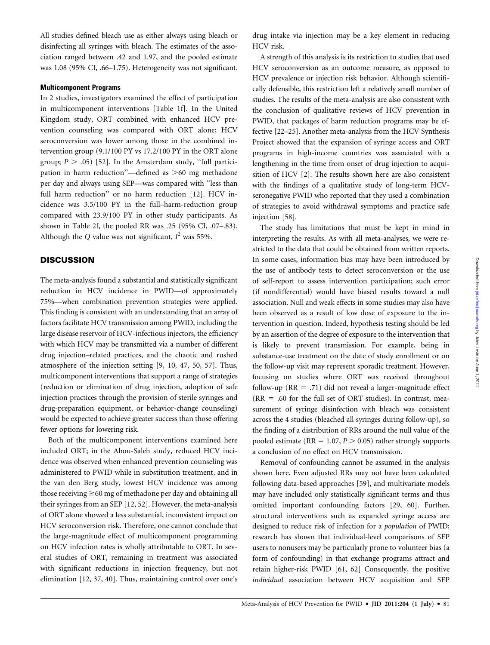All studies defined bleach use as either always using bleach or disinfecting all syringes with bleach. The estimates of the association ranged between .42 and 1.97, and the pooled estimate was 1.08 (95% CI, .66–1.75). Heterogeneity was not significant.

### Multicomponent Programs

In 2 studies, investigators examined the effect of participation in multicomponent interventions [Table 1f]. In the United Kingdom study, ORT combined with enhanced HCV prevention counseling was compared with ORT alone; HCV seroconversion was lower among those in the combined intervention group (9.1/100 PY vs 17.2/100 PY in the ORT alone group;  $P > .05$ ) [52]. In the Amsterdam study, "full participation in harm reduction"—defined as  $>60$  mg methadone per day and always using SEP—was compared with ''less than full harm reduction'' or no harm reduction [12]. HCV incidence was 3.5/100 PY in the full–harm-reduction group compared with 23.9/100 PY in other study participants. As shown in Table 2f, the pooled RR was .25 (95% CI, .07–.83). Although the Q value was not significant,  $I^2$  was 55%.

# **DISCUSSION**

The meta-analysis found a substantial and statistically significant reduction in HCV incidence in PWID—of approximately 75%—when combination prevention strategies were applied. This finding is consistent with an understanding that an array of factors facilitate HCV transmission among PWID, including the large disease reservoir of HCV-infectious injectors, the efficiency with which HCV may be transmitted via a number of different drug injection–related practices, and the chaotic and rushed atmosphere of the injection setting [9, 10, 47, 50, 57]. Thus, multicomponent interventions that support a range of strategies (reduction or elimination of drug injection, adoption of safe injection practices through the provision of sterile syringes and drug-preparation equipment, or behavior-change counseling) would be expected to achieve greater success than those offering fewer options for lowering risk.

Both of the multicomponent interventions examined here included ORT; in the Abou-Saleh study, reduced HCV incidence was observed when enhanced prevention counseling was administered to PWID while in substitution treatment, and in the van den Berg study, lowest HCV incidence was among those receiving  $\geq$  60 mg of methadone per day and obtaining all their syringes from an SEP [12, 52]. However, the meta-analysis of ORT alone showed a less substantial, inconsistent impact on HCV seroconversion risk. Therefore, one cannot conclude that the large-magnitude effect of multicomponent programming on HCV infection rates is wholly attributable to ORT. In several studies of ORT, remaining in treatment was associated with significant reductions in injection frequency, but not elimination [12, 37, 40]. Thus, maintaining control over one's

drug intake via injection may be a key element in reducing HCV risk.

A strength of this analysis is its restriction to studies that used HCV seroconversion as an outcome measure, as opposed to HCV prevalence or injection risk behavior. Although scientifically defensible, this restriction left a relatively small number of studies. The results of the meta-analysis are also consistent with the conclusion of qualitative reviews of HCV prevention in PWID, that packages of harm reduction programs may be effective [22–25]. Another meta-analysis from the HCV Synthesis Project showed that the expansion of syringe access and ORT programs in high-income countries was associated with a lengthening in the time from onset of drug injection to acquisition of HCV [2]. The results shown here are also consistent with the findings of a qualitative study of long-term HCVseronegative PWID who reported that they used a combination of strategies to avoid withdrawal symptoms and practice safe injection [58].

The study has limitations that must be kept in mind in interpreting the results. As with all meta-analyses, we were restricted to the data that could be obtained from written reports. In some cases, information bias may have been introduced by the use of antibody tests to detect seroconversion or the use of self-report to assess intervention participation; such error (if nondifferential) would have biased results toward a null association. Null and weak effects in some studies may also have been observed as a result of low dose of exposure to the intervention in question. Indeed, hypothesis testing should be led by an assertion of the degree of exposure to the intervention that is likely to prevent transmission. For example, being in substance-use treatment on the date of study enrollment or on the follow-up visit may represent sporadic treatment. However, focusing on studies where ORT was received throughout follow-up ( $RR = .71$ ) did not reveal a larger-magnitude effect  $(RR = .60$  for the full set of ORT studies). In contrast, measurement of syringe disinfection with bleach was consistent across the 4 studies (bleached all syringes during follow-up), so the finding of a distribution of RRs around the null value of the pooled estimate ( $RR = 1.07, P > 0.05$ ) rather strongly supports a conclusion of no effect on HCV transmission.

Removal of confounding cannot be assumed in the analysis shown here. Even adjusted RRs may not have been calculated following data-based approaches [59], and multivariate models may have included only statistically significant terms and thus omitted important confounding factors [29, 60]. Further, structural interventions such as expanded syringe access are designed to reduce risk of infection for a population of PWID; research has shown that individual-level comparisons of SEP users to nonusers may be particularly prone to volunteer bias (a form of confounding) in that exchange programs attract and retain higher-risk PWID [61, 62] Consequently, the positive individual association between HCV acquisition and SEP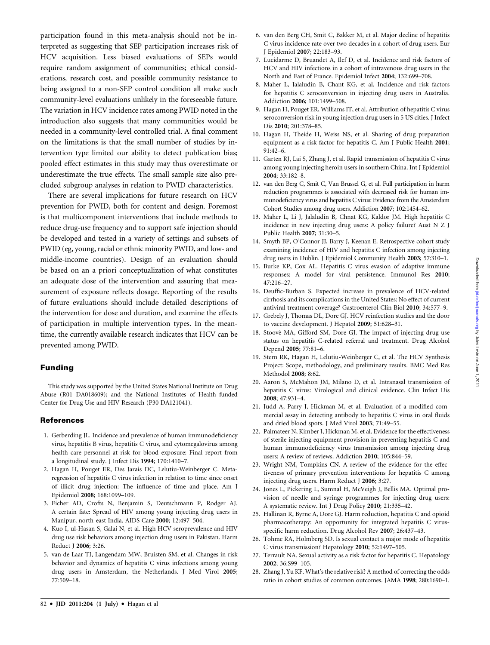participation found in this meta-analysis should not be interpreted as suggesting that SEP participation increases risk of HCV acquisition. Less biased evaluations of SEPs would require random assignment of communities; ethical considerations, research cost, and possible community resistance to being assigned to a non-SEP control condition all make such community-level evaluations unlikely in the foreseeable future. The variation in HCV incidence rates among PWID noted in the introduction also suggests that many communities would be needed in a community-level controlled trial. A final comment on the limitations is that the small number of studies by intervention type limited our ability to detect publication bias; pooled effect estimates in this study may thus overestimate or underestimate the true effects. The small sample size also precluded subgroup analyses in relation to PWID characteristics.

There are several implications for future research on HCV prevention for PWID, both for content and design. Foremost is that multicomponent interventions that include methods to reduce drug-use frequency and to support safe injection should be developed and tested in a variety of settings and subsets of PWID (eg, young, racial or ethnic minority PWID, and low- and middle-income countries). Design of an evaluation should be based on an a priori conceptualization of what constitutes an adequate dose of the intervention and assuring that measurement of exposure reflects dosage. Reporting of the results of future evaluations should include detailed descriptions of the intervention for dose and duration, and examine the effects of participation in multiple intervention types. In the meantime, the currently available research indicates that HCV can be prevented among PWID.

#### Funding

This study was supported by the United States National Institute on Drug Abuse (R01 DA018609); and the National Institutes of Health–funded Center for Drug Use and HIV Research (P30 DA121041).

#### **References**

- 1. Gerberding JL. Incidence and prevalence of human immunodeficiency virus, hepatitis B virus, hepatitis C virus, and cytomegalovirus among health care personnel at risk for blood exposure: Final report from a longitudinal study. J Infect Dis 1994; 170:1410–7.
- 2. Hagan H, Pouget ER, Des Jarais DC, Lelutiu-Weinberger C. Metaregression of hepatitis C virus infection in relation to time since onset of illicit drug injection: The influence of time and place. Am J Epidemiol 2008; 168:1099–109.
- 3. Eicher AD, Crofts N, Benjamin S, Deutschmann P, Rodger AJ. A certain fate: Spread of HIV among young injecting drug users in Manipur, north-east India. AIDS Care 2000; 12:497–504.
- 4. Kuo I, ul-Hasan S, Galai N, et al. High HCV seroprevalence and HIV drug use risk behaviors among injection drug users in Pakistan. Harm Reduct J 2006; 3:26.
- 5. van de Laar TJ, Langendam MW, Bruisten SM, et al. Changes in risk behavior and dynamics of hepatitis C virus infections among young drug users in Amsterdam, the Netherlands. J Med Virol 2005; 77:509–18.
- 6. van den Berg CH, Smit C, Bakker M, et al. Major decline of hepatitis C virus incidence rate over two decades in a cohort of drug users. Eur J Epidemiol 2007; 22:183–93.
- 7. Lucidarme D, Bruandet A, Ilef D, et al. Incidence and risk factors of HCV and HIV infections in a cohort of intravenous drug users in the North and East of France. Epidemiol Infect 2004; 132:699–708.
- 8. Maher L, Jalaludin B, Chant KG, et al. Incidence and risk factors for hepatitis C seroconversion in injecting drug users in Australia. Addiction 2006; 101:1499–508.
- 9. Hagan H, Pouget ER, Williams IT, et al. Attribution of hepatitis C virus seroconversion risk in young injection drug users in 5 US cities. J Infect Dis 2010; 201:378–85.
- 10. Hagan H, Theide H, Weiss NS, et al. Sharing of drug preparation equipment as a risk factor for hepatitis C. Am J Public Health 2001; 91:42–6.
- 11. Garten RJ, Lai S, Zhang J, et al. Rapid transmission of hepatitis C virus among young injecting heroin users in southern China. Int J Epidemiol 2004; 33:182–8.
- 12. van den Berg C, Smit C, Van Brussel G, et al. Full participation in harm reduction programmes is associated with decreased risk for human immunodeficiency virus and hepatitis C virus: Evidence from the Amsterdam Cohort Studies among drug users. Addiction 2007; 102:1454–62.
- 13. Maher L, Li J, Jalaludin B, Chnat KG, Kaldor JM. High hepatitis C incidence in new injecting drug users: A policy failure? Aust N Z J Public Health 2007; 31:30–5.
- 14. Smyth BP, O'Connor JJ, Barry J, Keenan E. Retrospective cohort study examining incidence of HIV and hepatitis C infection among injecting drug users in Dublin. J Epidemiol Community Health 2003; 57:310–1.
- 15. Burke KP, Cox AL. Hepatitis C virus evasion of adaptive immune responses: A model for viral persistence. Immunol Res 2010; 47:216–27.
- 16. Deuffic-Burban S. Expected increase in prevalence of HCV-related cirrhosis and its complications in the United States: No effect of current antiviral treatment coverage? Gastroenterol Clin Biol 2010; 34:577–9.
- 17. Grebely J, Thomas DL, Dore GJ. HCV reinfection studies and the door to vaccine development. J Hepatol 2009; 51:628–31.
- 18. Stoové MA, Gifford SM, Dore GJ. The impact of injecting drug use status on hepatitis C-related referral and treatment. Drug Alcohol Depend 2005; 77:81–6.
- 19. Stern RK, Hagan H, Lelutiu-Weinberger C, et al. The HCV Synthesis Project: Scope, methodology, and preliminary results. BMC Med Res Methodol 2008; 8:62.
- 20. Aaron S, McMahon JM, Milano D, et al. Intranasal transmission of hepatitis C virus: Virological and clinical evidence. Clin Infect Dis 2008; 47:931–4.
- 21. Judd A, Parry J, Hickman M, et al. Evaluation of a modified commercial assay in detecting antibody to hepatitis C virus in oral fluids and dried blood spots. J Med Virol 2003; 71:49–55.
- 22. Palmateer N, Kimber J, Hickman M, et al. Evidence for the effectiveness of sterile injecting equipment provision in preventing hepatitis C and human immunodeficiency virus transmission among injecting drug users: A review of reviews. Addiction 2010; 105:844–59.
- 23. Wright NM, Tompkins CN. A review of the evidence for the effectiveness of primary prevention interventions for hepatitis C among injecting drug users. Harm Reduct J 2006; 3:27.
- 24. Jones L, Pickering L, Sumnal H, McVeigh J, Bellis MA. Optimal provision of needle and syringe programmes for injecting drug users: A systematic review. Int J Drug Policy 2010; 21:335–42.
- 25. Hallinan R, Byrne A, Dore GJ. Harm reduction, hepatitis C and opioid pharmacotherapy: An opportunity for integrated hepatitis C virusspecific harm reduction. Drug Alcohol Rev 2007; 26:437–43.
- 26. Tohme RA, Holmberg SD. Is sexual contact a major mode of hepatitis C virus transmission? Hepatology 2010; 52:1497–505.
- 27. Terrault NA. Sexual activity as a risk factor for hepatitis C. Hepatology 2002; 36:S99–105.
- 28. Zhang J, Yu KF. What's the relative risk? A method of correcting the odds ratio in cohort studies of common outcomes. JAMA 1998; 280:1690–1.